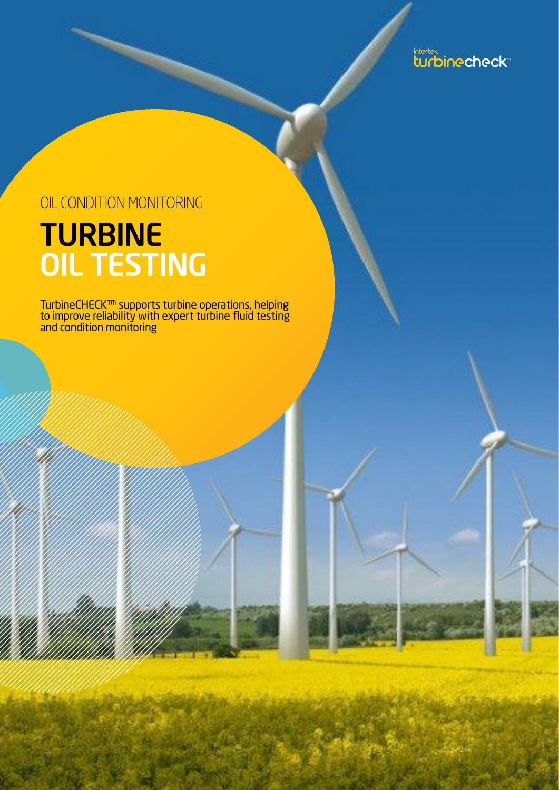intertek<br>turbinecheck

## OIL CONDITION MONITORING

## TURBINE OIL TESTING

TurbineCHECK™ supports turbine operations, helping to improve reliability with expert turbine fluid testing and condition monitoring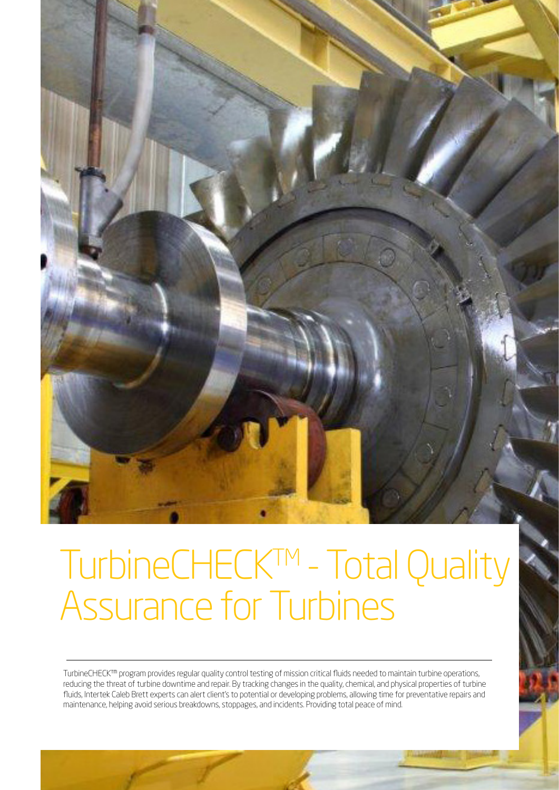

# TurbineCHECK<sup>TM</sup> - Total Quality Assurance for Turbines

TurbineCHECK™ program provides regular quality control testing of mission critical fluids needed to maintain turbine operations, reducing the threat of turbine downtime and repair. By tracking changes in the quality, chemical, and physical properties of turbine fluids, Intertek Caleb Brett experts can alert client's to potential or developing problems, allowing time for preventative repairs and maintenance, helping avoid serious breakdowns, stoppages, and incidents. Providing total peace of mind.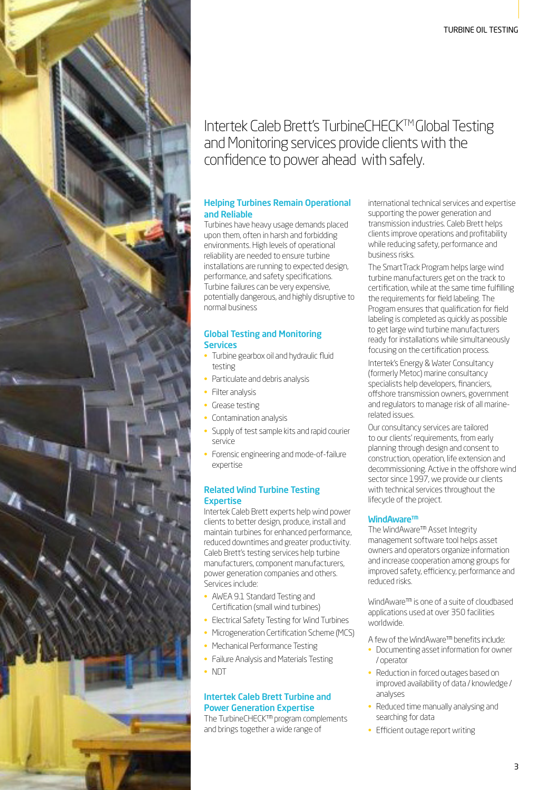### Intertek Caleb Brett's TurbineCHECKTM Global Testing and Monitoring services provide clients with the confidence to power ahead with safely.

#### Helping Turbines Remain Operational and Reliable

Turbines have heavy usage demands placed upon them, often in harsh and forbidding environments. High levels of operational reliability are needed to ensure turbine installations are running to expected design, performance, and safety specifications. Turbine failures can be very expensive, potentially dangerous, and highly disruptive to normal business

#### Global Testing and Monitoring **Services**

- Turbine gearbox oil and hydraulic fluid testing
- Particulate and debris analysis
- Filter analysis
- Grease testing
- Contamination analysis
- Supply of test sample kits and rapid courier service
- Forensic engineering and mode-of-failure expertise

#### Related Wind Turbine Testing **Expertise**

Intertek Caleb Brett experts help wind power clients to better design, produce, install and maintain turbines for enhanced performance, reduced downtimes and greater productivity. Caleb Brett's testing services help turbine manufacturers, component manufacturers, power generation companies and others. Services include:

- AWEA 9.1 Standard Testing and Certification (small wind turbines)
- Electrical Safety Testing for Wind Turbines
- Microgeneration Certification Scheme (MCS)
- Mechanical Performance Testing
- Failure Analysis and Materials Testing
- NDT

#### Intertek Caleb Brett Turbine and Power Generation Expertise

The TurbineCHECK™ program complements and brings together a wide range of

international technical services and expertise supporting the power generation and transmission industries. Caleb Brett helps clients improve operations and profitability while reducing safety, performance and business risks.

The SmartTrack Program helps large wind turbine manufacturers get on the track to certification, while at the same time fulfilling the requirements for field labeling. The Program ensures that qualification for field labeling is completed as quickly as possible to get large wind turbine manufacturers ready for installations while simultaneously focusing on the certification process.

Intertek's Energy & Water Consultancy (formerly Metoc) marine consultancy specialists help developers, financiers, offshore transmission owners, government and regulators to manage risk of all marinerelated issues.

Our consultancy services are tailored to our clients' requirements, from early planning through design and consent to construction, operation, life extension and decommissioning. Active in the offshore wind sector since 1997, we provide our clients with technical services throughout the lifecycle of the project.

#### WindAware<sup>™</sup>

The WindAware™ Asset Integrity management software tool helps asset owners and operators organize information and increase cooperation among groups for improved safety, efficiency, performance and reduced risks.

WindAware™ is one of a suite of cloudbased applications used at over 350 facilities worldwide.

A few of the WindAware™ benefits include:

- Documenting asset information for owner / operator
- Reduction in forced outages based on improved availability of data / knowledge / analyses
- Reduced time manually analysing and searching for data
- Efficient outage report writing